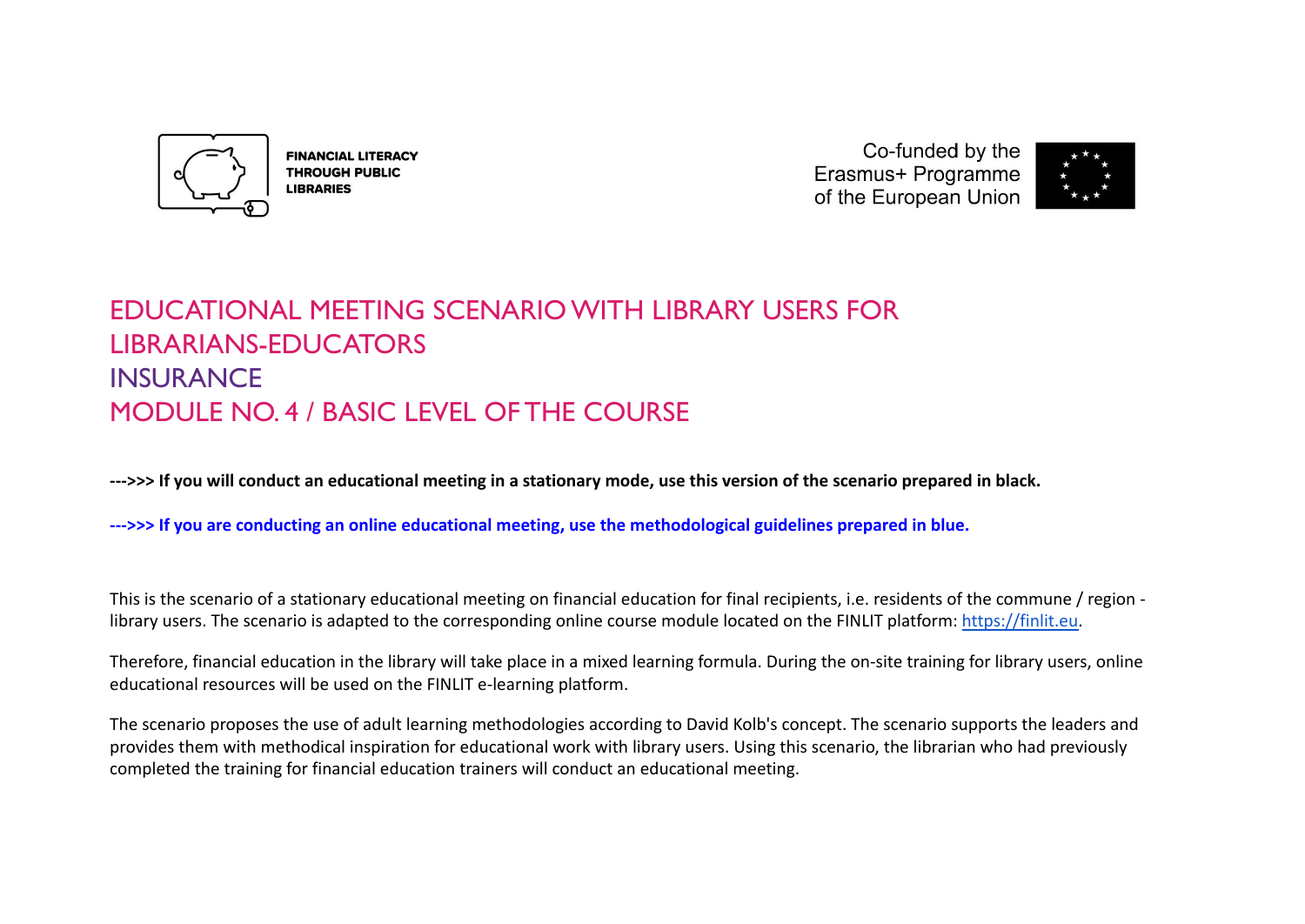

**FINANCIAL LITERACY THROUGH PUBLIC LIBRARIES** 

Co-funded by the Erasmus+ Programme of the European Union



# EDUCATIONAL MEETING SCENARIO WITH LIBRARY USERS FOR LIBRARIANS-EDUCATORS INSURANCE MODULE NO. 4 / BASIC LEVEL OF THE COURSE

**--->>> If you will conduct an educational meeting in a stationary mode, use this version of the scenario prepared in black.**

**--->>> If you are conducting an online educational meeting, use the methodological guidelines prepared in blue.**

This is the scenario of a stationary educational meeting on financial education for final recipients, i.e. residents of the commune / region library users. The scenario is adapted to the corresponding online course module located on the FINLIT platform: [https://finlit.eu.](https://finlit.eu)

Therefore, financial education in the library will take place in a mixed learning formula. During the on-site training for library users, online educational resources will be used on the FINLIT e-learning platform.

The scenario proposes the use of adult learning methodologies according to David Kolb's concept. The scenario supports the leaders and provides them with methodical inspiration for educational work with library users. Using this scenario, the librarian who had previously completed the training for financial education trainers will conduct an educational meeting.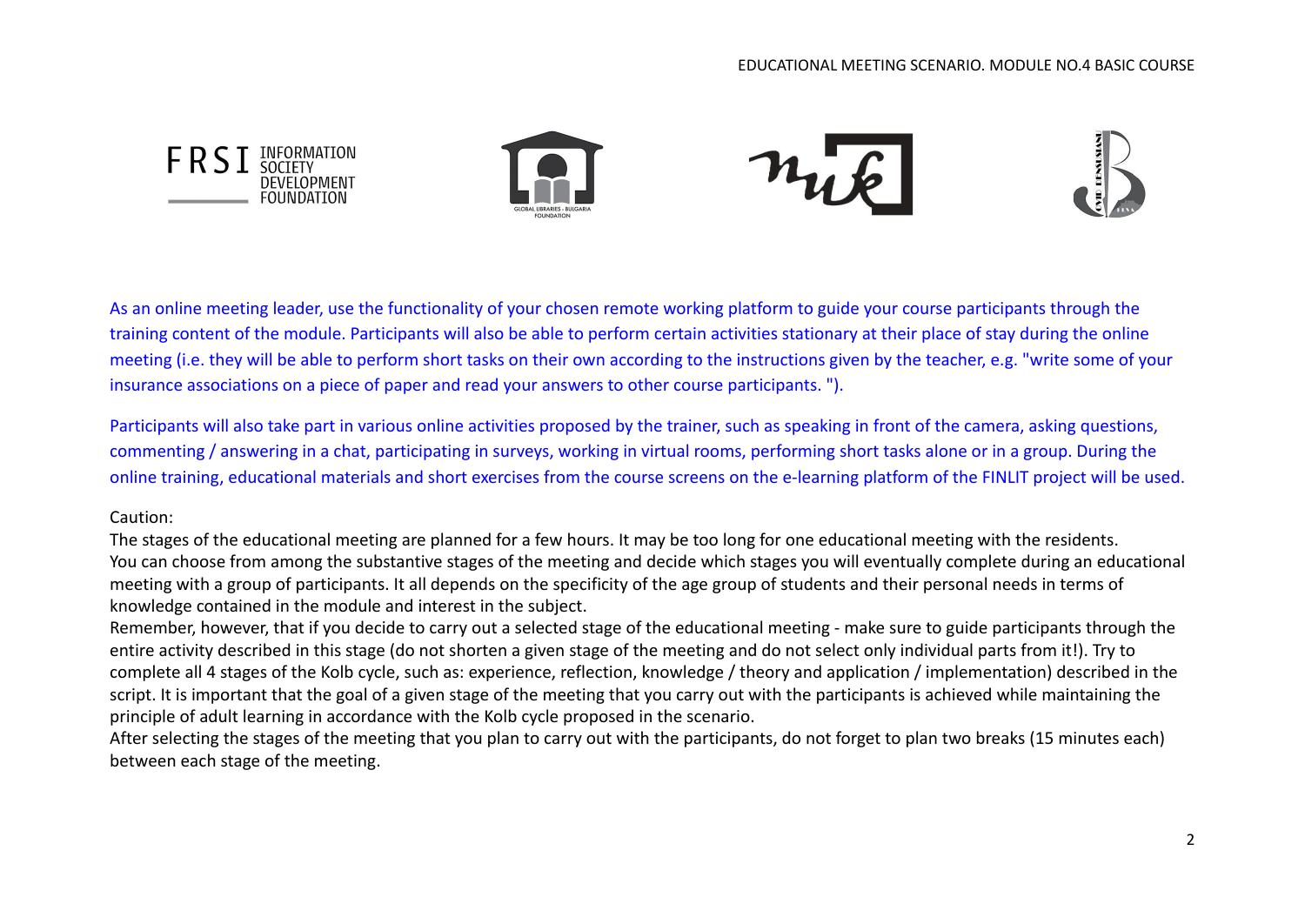

As an online meeting leader, use the functionality of your chosen remote working platform to guide your course participants through the training content of the module. Participants will also be able to perform certain activities stationary at their place of stay during the online meeting (i.e. they will be able to perform short tasks on their own according to the instructions given by the teacher, e.g. "write some of your insurance associations on a piece of paper and read your answers to other course participants. ").

Participants will also take part in various online activities proposed by the trainer, such as speaking in front of the camera, asking questions, commenting / answering in a chat, participating in surveys, working in virtual rooms, performing short tasks alone or in a group. During the online training, educational materials and short exercises from the course screens on the e-learning platform of the FINLIT project will be used.

#### Caution:

The stages of the educational meeting are planned for a few hours. It may be too long for one educational meeting with the residents. You can choose from among the substantive stages of the meeting and decide which stages you will eventually complete during an educational meeting with a group of participants. It all depends on the specificity of the age group of students and their personal needs in terms of knowledge contained in the module and interest in the subject.

Remember, however, that if you decide to carry out a selected stage of the educational meeting - make sure to guide participants through the entire activity described in this stage (do not shorten a given stage of the meeting and do not select only individual parts from it!). Try to complete all 4 stages of the Kolb cycle, such as: experience, reflection, knowledge / theory and application / implementation) described in the script. It is important that the goal of a given stage of the meeting that you carry out with the participants is achieved while maintaining the principle of adult learning in accordance with the Kolb cycle proposed in the scenario.

After selecting the stages of the meeting that you plan to carry out with the participants, do not forget to plan two breaks (15 minutes each) between each stage of the meeting.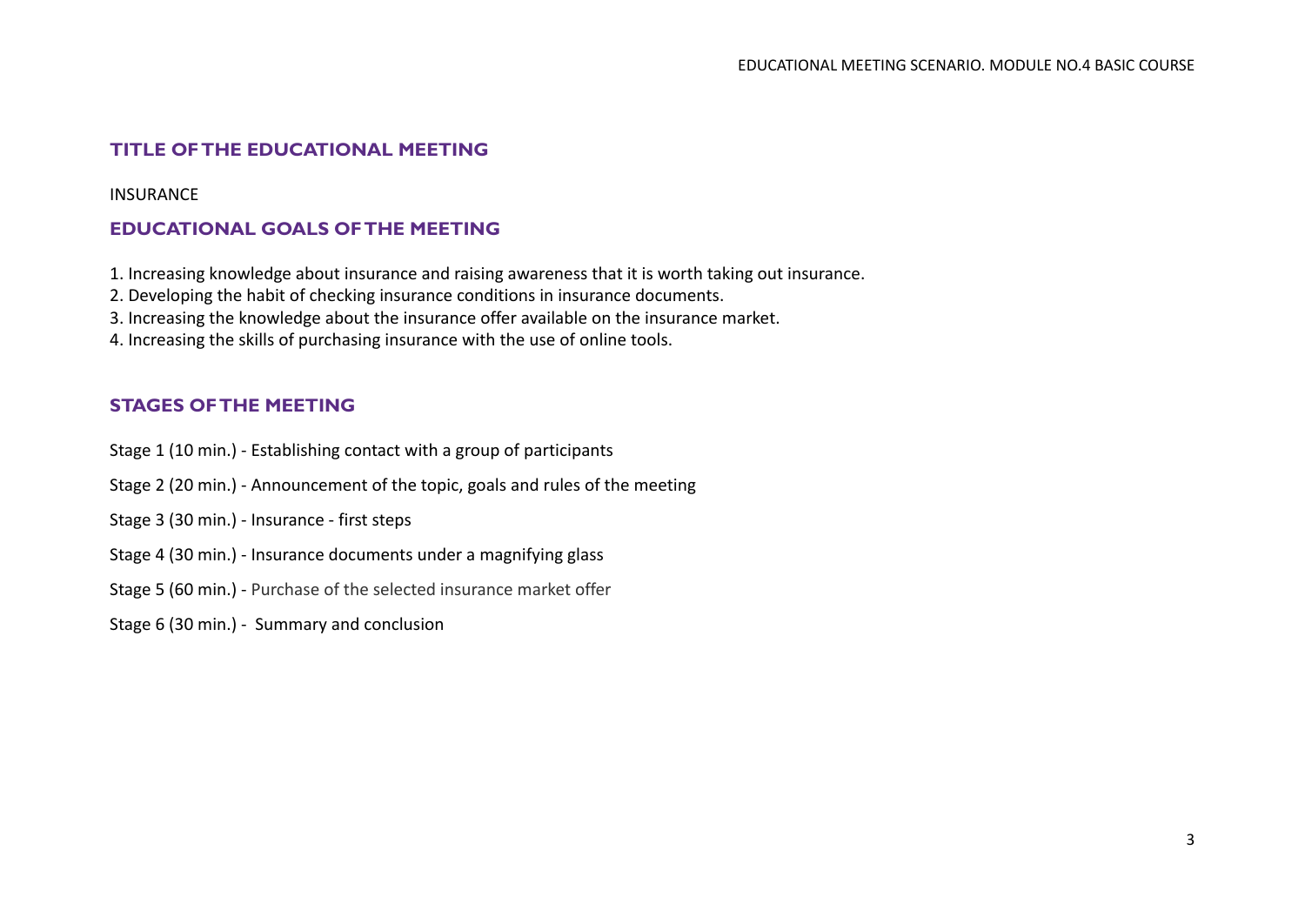# **TITLE OF THE EDUCATIONAL MEETING**

INSURANCE

## **EDUCATIONAL GOALS OF THE MEETING**

1. Increasing knowledge about insurance and raising awareness that it is worth taking out insurance.

2. Developing the habit of checking insurance conditions in insurance documents.

3. Increasing the knowledge about the insurance offer available on the insurance market.

4. Increasing the skills of purchasing insurance with the use of online tools.

## **STAGES OF THE MEETING**

- Stage 1 (10 min.) Establishing contact with a group of participants
- Stage 2 (20 min.) Announcement of the topic, goals and rules of the meeting
- Stage 3 (30 min.) Insurance first steps
- Stage 4 (30 min.) Insurance documents under a magnifying glass
- Stage 5 (60 min.) Purchase of the selected insurance market offer
- Stage 6 (30 min.) Summary and conclusion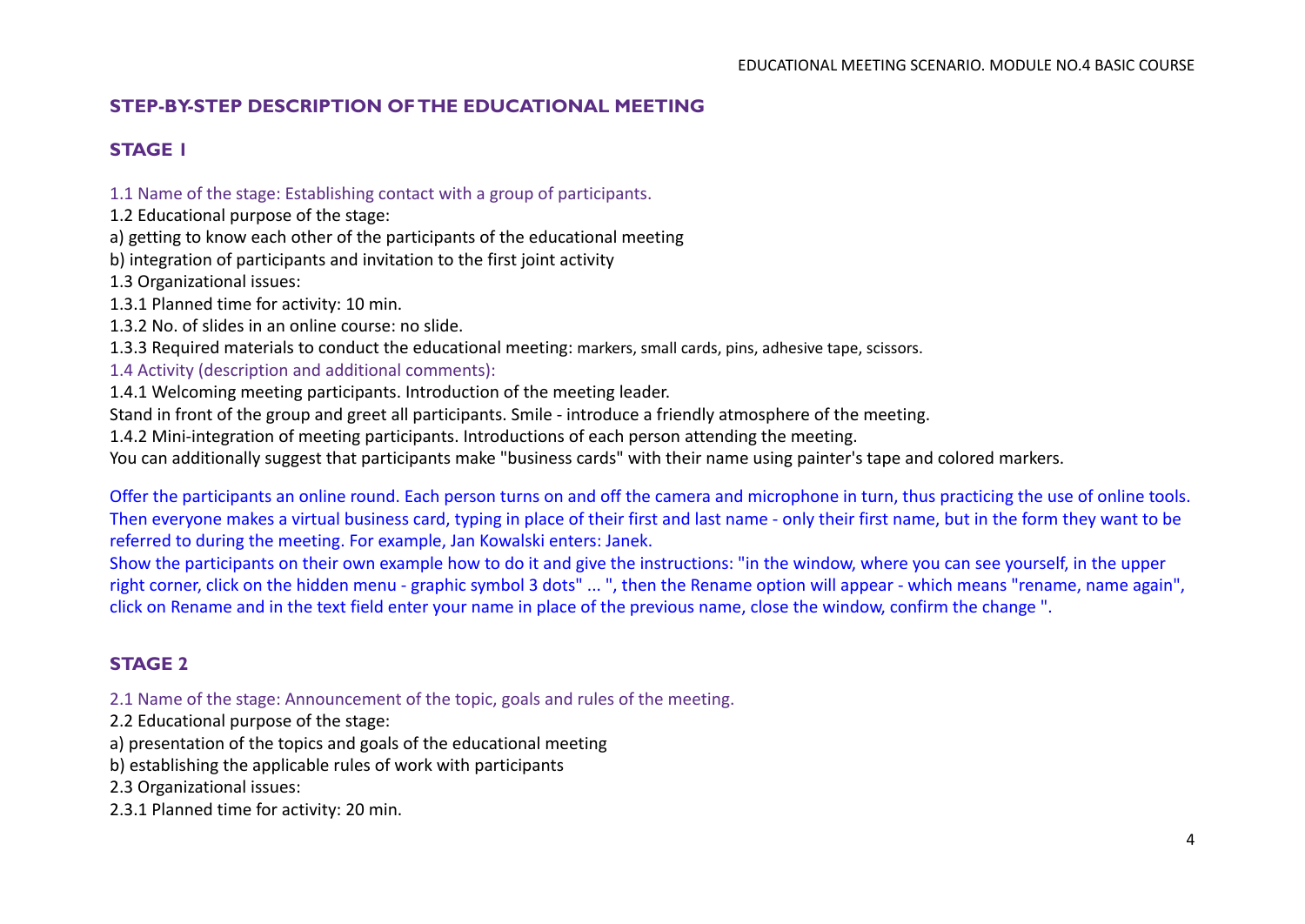# **STEP-BY-STEP DESCRIPTION OF THE EDUCATIONAL MEETING**

# **STAGE 1**

1.1 Name of the stage: Establishing contact with a group of participants.

1.2 Educational purpose of the stage:

a) getting to know each other of the participants of the educational meeting

b) integration of participants and invitation to the first joint activity

1.3 Organizational issues:

- 1.3.1 Planned time for activity: 10 min.
- 1.3.2 No. of slides in an online course: no slide.

1.3.3 Required materials to conduct the educational meeting: markers, small cards, pins, adhesive tape, scissors.

1.4 Activity (description and additional comments):

1.4.1 Welcoming meeting participants. Introduction of the meeting leader.

Stand in front of the group and greet all participants. Smile - introduce a friendly atmosphere of the meeting.

1.4.2 Mini-integration of meeting participants. Introductions of each person attending the meeting.

You can additionally suggest that participants make "business cards" with their name using painter's tape and colored markers.

Offer the participants an online round. Each person turns on and off the camera and microphone in turn, thus practicing the use of online tools. Then everyone makes a virtual business card, typing in place of their first and last name - only their first name, but in the form they want to be referred to during the meeting. For example, Jan Kowalski enters: Janek.

Show the participants on their own example how to do it and give the instructions: "in the window, where you can see yourself, in the upper right corner, click on the hidden menu - graphic symbol 3 dots" ... ", then the Rename option will appear - which means "rename, name again", click on Rename and in the text field enter your name in place of the previous name, close the window, confirm the change ".

# **STAGE 2**

2.1 Name of the stage: Announcement of the topic, goals and rules of the meeting.

2.2 Educational purpose of the stage:

a) presentation of the topics and goals of the educational meeting

b) establishing the applicable rules of work with participants

2.3 Organizational issues:

2.3.1 Planned time for activity: 20 min.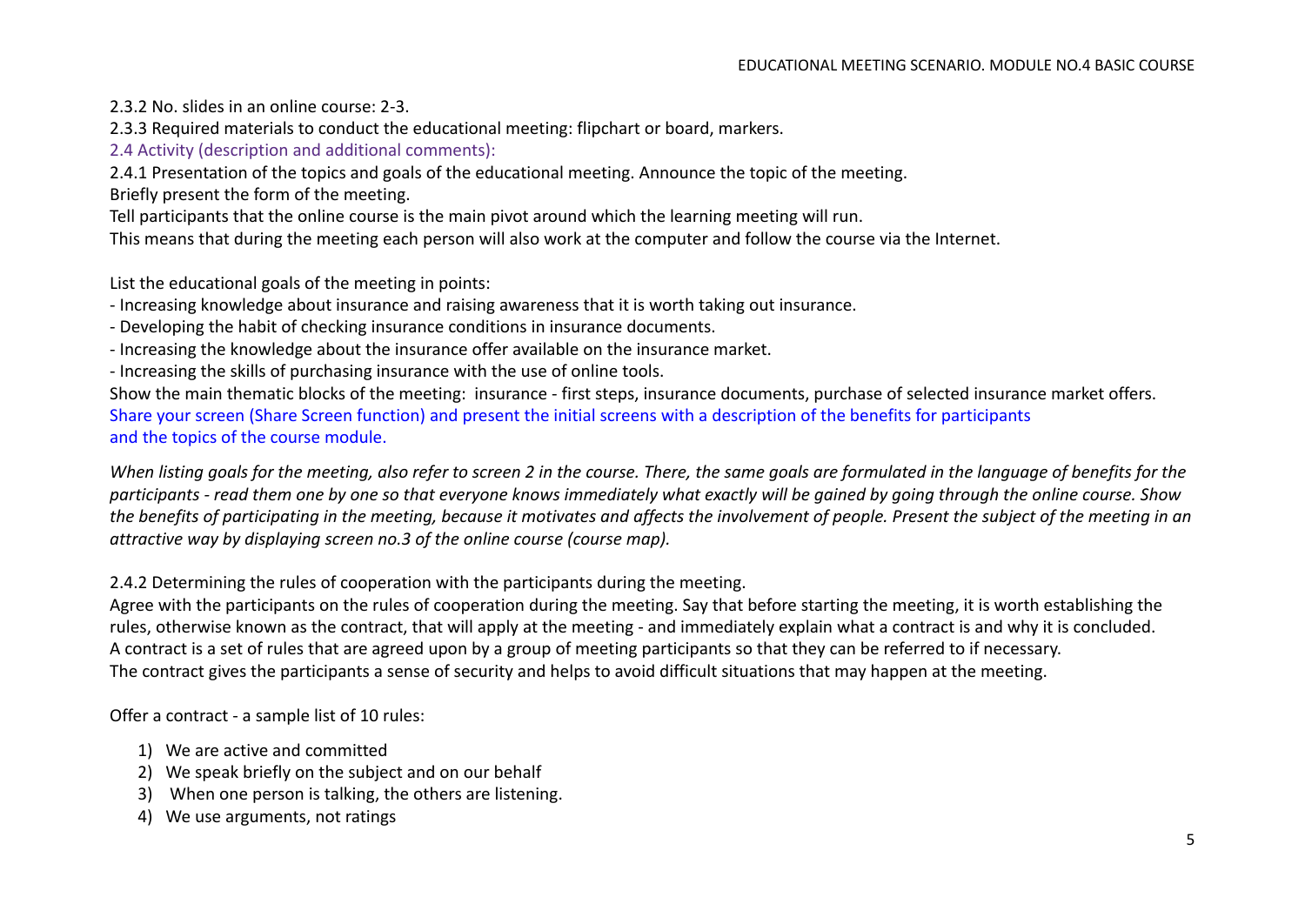- 2.3.2 No. slides in an online course: 2-3.
- 2.3.3 Required materials to conduct the educational meeting: flipchart or board, markers.
- 2.4 Activity (description and additional comments):

2.4.1 Presentation of the topics and goals of the educational meeting. Announce the topic of the meeting.

Briefly present the form of the meeting.

Tell participants that the online course is the main pivot around which the learning meeting will run.

This means that during the meeting each person will also work at the computer and follow the course via the Internet.

List the educational goals of the meeting in points:

- Increasing knowledge about insurance and raising awareness that it is worth taking out insurance.
- Developing the habit of checking insurance conditions in insurance documents.
- Increasing the knowledge about the insurance offer available on the insurance market.
- Increasing the skills of purchasing insurance with the use of online tools.

Show the main thematic blocks of the meeting: insurance - first steps, insurance documents, purchase of selected insurance market offers. Share your screen (Share Screen function) and present the initial screens with a description of the benefits for participants and the topics of the course module.

*When listing goals for the meeting, also refer to screen 2 in the course. There, the same goals are formulated in the language of benefits for the participants - read them one by one so that everyone knows immediately what exactly will be gained by going through the online course. Show the benefits of participating in the meeting, because it motivates and affects the involvement of people. Present the subject of the meeting in an attractive way by displaying screen no.3 of the online course (course map).*

2.4.2 Determining the rules of cooperation with the participants during the meeting.

Agree with the participants on the rules of cooperation during the meeting. Say that before starting the meeting, it is worth establishing the rules, otherwise known as the contract, that will apply at the meeting - and immediately explain what a contract is and why it is concluded. A contract is a set of rules that are agreed upon by a group of meeting participants so that they can be referred to if necessary. The contract gives the participants a sense of security and helps to avoid difficult situations that may happen at the meeting.

Offer a contract - a sample list of 10 rules:

- 1) We are active and committed
- 2) We speak briefly on the subject and on our behalf
- 3) When one person is talking, the others are listening.
- 4) We use arguments, not ratings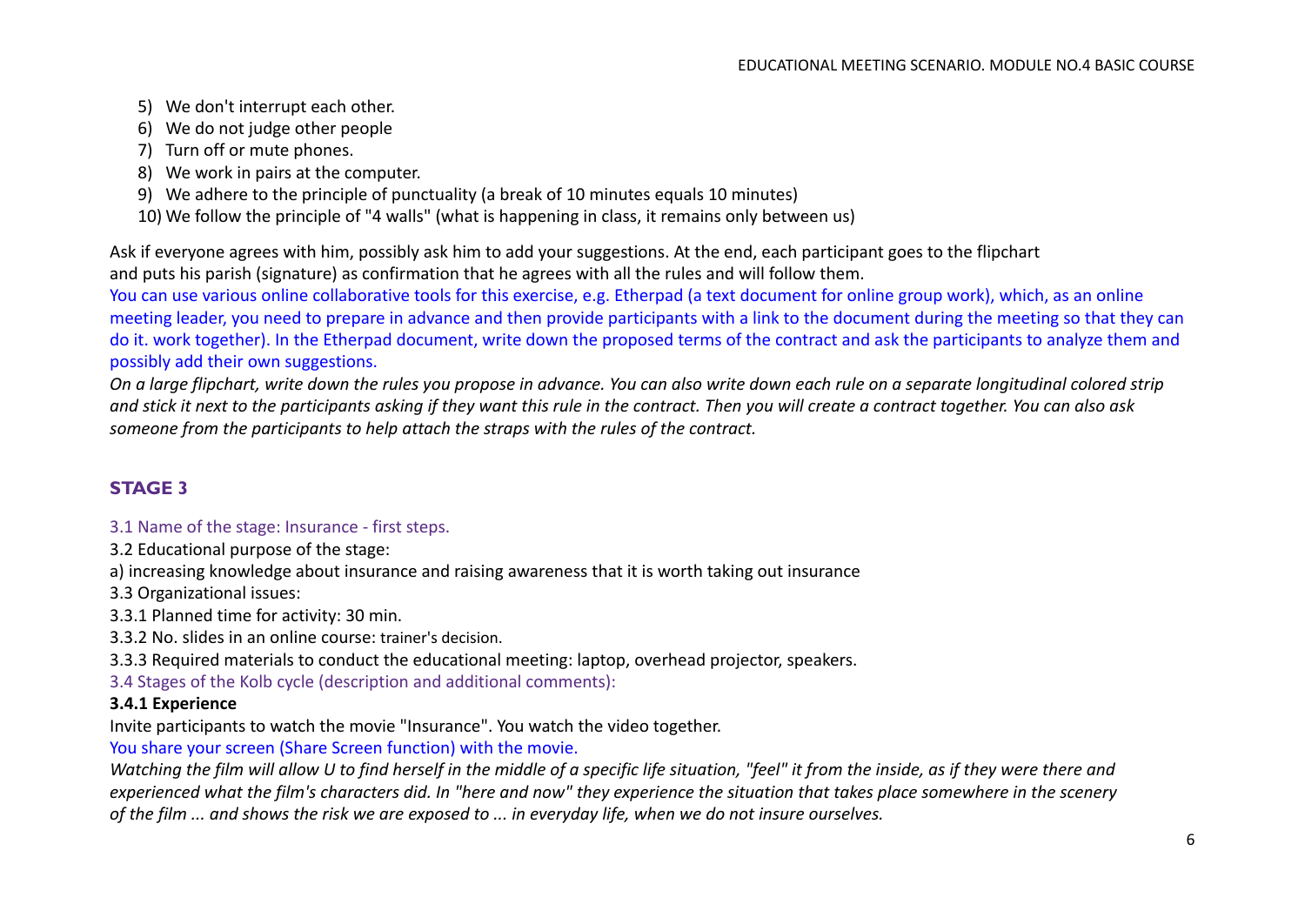- 5) We don't interrupt each other.
- 6) We do not judge other people
- 7) Turn off or mute phones.
- 8) We work in pairs at the computer.
- 9) We adhere to the principle of punctuality (a break of 10 minutes equals 10 minutes)
- 10) We follow the principle of "4 walls" (what is happening in class, it remains only between us)

Ask if everyone agrees with him, possibly ask him to add your suggestions. At the end, each participant goes to the flipchart and puts his parish (signature) as confirmation that he agrees with all the rules and will follow them.

You can use various online collaborative tools for this exercise, e.g. Etherpad (a text document for online group work), which, as an online meeting leader, you need to prepare in advance and then provide participants with a link to the document during the meeting so that they can do it. work together). In the Etherpad document, write down the proposed terms of the contract and ask the participants to analyze them and possibly add their own suggestions.

*On a large flipchart, write down the rules you propose in advance. You can also write down each rule on a separate longitudinal colored strip and stick it next to the participants asking if they want this rule in the contract. Then you will create a contract together. You can also ask someone from the participants to help attach the straps with the rules of the contract.*

# **STAGE 3**

## 3.1 Name of the stage: Insurance - first steps.

3.2 Educational purpose of the stage:

a) increasing knowledge about insurance and raising awareness that it is worth taking out insurance

3.3 Organizational issues:

3.3.1 Planned time for activity: 30 min.

3.3.2 No. slides in an online course: trainer's decision.

3.3.3 Required materials to conduct the educational meeting: laptop, overhead projector, speakers.

3.4 Stages of the Kolb cycle (description and additional comments):

## **3.4.1 Experience**

Invite participants to watch the movie "Insurance". You watch the video together.

You share your screen (Share Screen function) with the movie.

*Watching the film will allow U to find herself in the middle of a specific life situation, "feel" it from the inside, as if they were there and experienced what the film's characters did. In "here and now" they experience the situation that takes place somewhere in the scenery of the film ... and shows the risk we are exposed to ... in everyday life, when we do not insure ourselves.*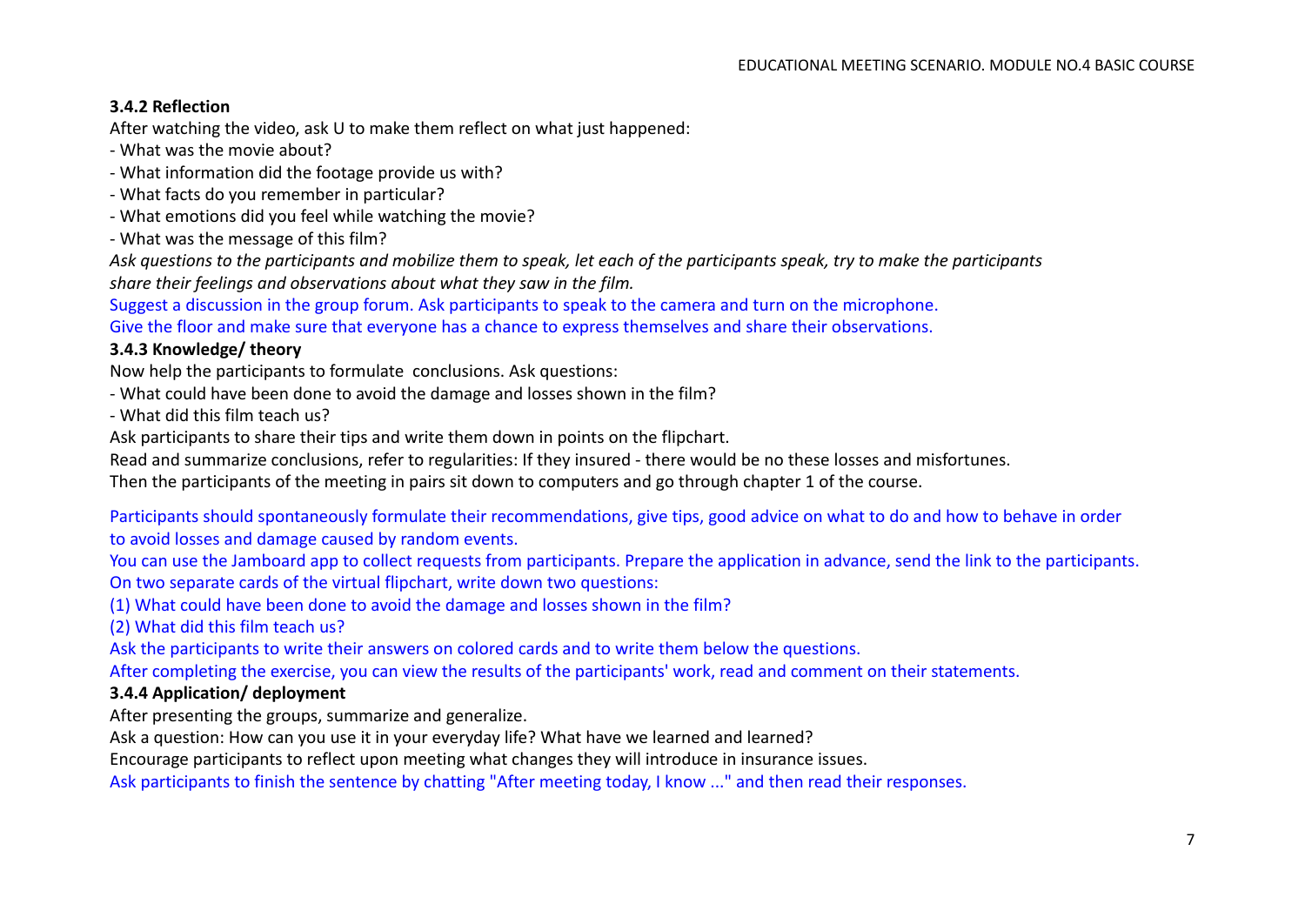## **3.4.2 Reflection**

After watching the video, ask U to make them reflect on what just happened:

- What was the movie about?

- What information did the footage provide us with?
- What facts do you remember in particular?
- What emotions did you feel while watching the movie?
- What was the message of this film?

*Ask questions to the participants and mobilize them to speak, let each of the participants speak, try to make the participants share their feelings and observations about what they saw in the film.*

Suggest a discussion in the group forum. Ask participants to speak to the camera and turn on the microphone. Give the floor and make sure that everyone has a chance to express themselves and share their observations.

## **3.4.3 Knowledge/ theory**

Now help the participants to formulate conclusions. Ask questions:

- What could have been done to avoid the damage and losses shown in the film?

- What did this film teach us?

Ask participants to share their tips and write them down in points on the flipchart.

Read and summarize conclusions, refer to regularities: If they insured - there would be no these losses and misfortunes.

Then the participants of the meeting in pairs sit down to computers and go through chapter 1 of the course.

Participants should spontaneously formulate their recommendations, give tips, good advice on what to do and how to behave in order to avoid losses and damage caused by random events.

You can use the Jamboard app to collect requests from participants. Prepare the application in advance, send the link to the participants. On two separate cards of the virtual flipchart, write down two questions:

(1) What could have been done to avoid the damage and losses shown in the film?

(2) What did this film teach us?

Ask the participants to write their answers on colored cards and to write them below the questions.

After completing the exercise, you can view the results of the participants' work, read and comment on their statements.

## **3.4.4 Application/ deployment**

After presenting the groups, summarize and generalize.

Ask a question: How can you use it in your everyday life? What have we learned and learned?

Encourage participants to reflect upon meeting what changes they will introduce in insurance issues.

Ask participants to finish the sentence by chatting "After meeting today, I know ..." and then read their responses.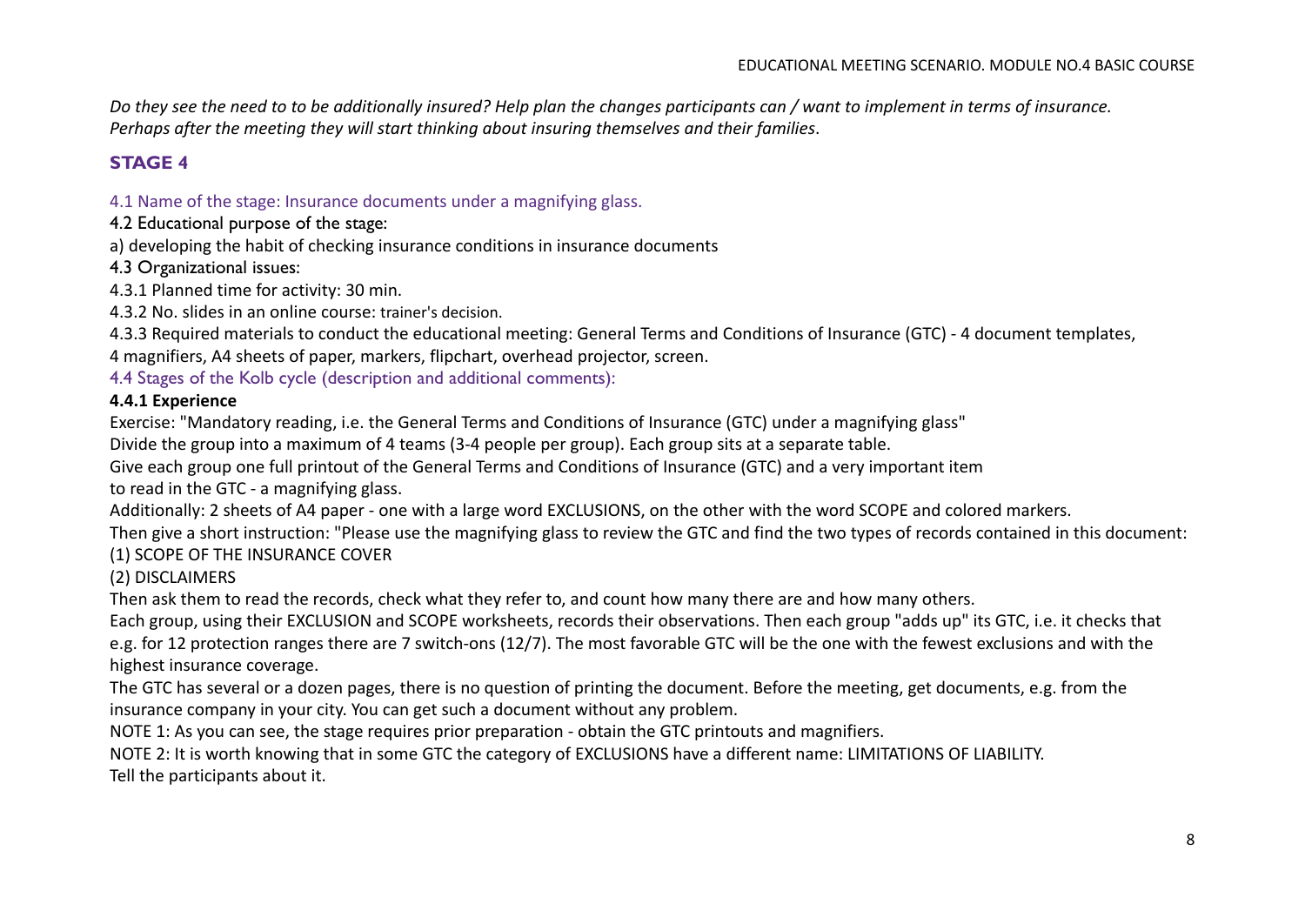*Do they see the need to to be additionally insured? Help plan the changes participants can / want to implement in terms of insurance. Perhaps after the meeting they will start thinking about insuring themselves and their families*.

# **STAGE 4**

#### 4.1 Name of the stage: Insurance documents under a magnifying glass.

4.2 Educational purpose of the stage:

a) developing the habit of checking insurance conditions in insurance documents

4.3 Organizational issues:

4.3.1 Planned time for activity: 30 min.

4.3.2 No. slides in an online course: trainer's decision.

4.3.3 Required materials to conduct the educational meeting: General Terms and Conditions of Insurance (GTC) - 4 document templates, 4 magnifiers, A4 sheets of paper, markers, flipchart, overhead projector, screen.

4.4 Stages of the Kolb cycle (description and additional comments):

#### **4.4.1 Experience**

Exercise: "Mandatory reading, i.e. the General Terms and Conditions of Insurance (GTC) under a magnifying glass"

Divide the group into a maximum of 4 teams (3-4 people per group). Each group sits at a separate table.

Give each group one full printout of the General Terms and Conditions of Insurance (GTC) and a very important item

to read in the GTC - a magnifying glass.

Additionally: 2 sheets of A4 paper - one with a large word EXCLUSIONS, on the other with the word SCOPE and colored markers.

Then give a short instruction: "Please use the magnifying glass to review the GTC and find the two types of records contained in this document:

## (1) SCOPE OF THE INSURANCE COVER

## (2) DISCLAIMERS

Then ask them to read the records, check what they refer to, and count how many there are and how many others.

Each group, using their EXCLUSION and SCOPE worksheets, records their observations. Then each group "adds up" its GTC, i.e. it checks that e.g. for 12 protection ranges there are 7 switch-ons (12/7). The most favorable GTC will be the one with the fewest exclusions and with the highest insurance coverage.

The GTC has several or a dozen pages, there is no question of printing the document. Before the meeting, get documents, e.g. from the insurance company in your city. You can get such a document without any problem.

NOTE 1: As you can see, the stage requires prior preparation - obtain the GTC printouts and magnifiers.

NOTE 2: It is worth knowing that in some GTC the category of EXCLUSIONS have a different name: LIMITATIONS OF LIABILITY. Tell the participants about it.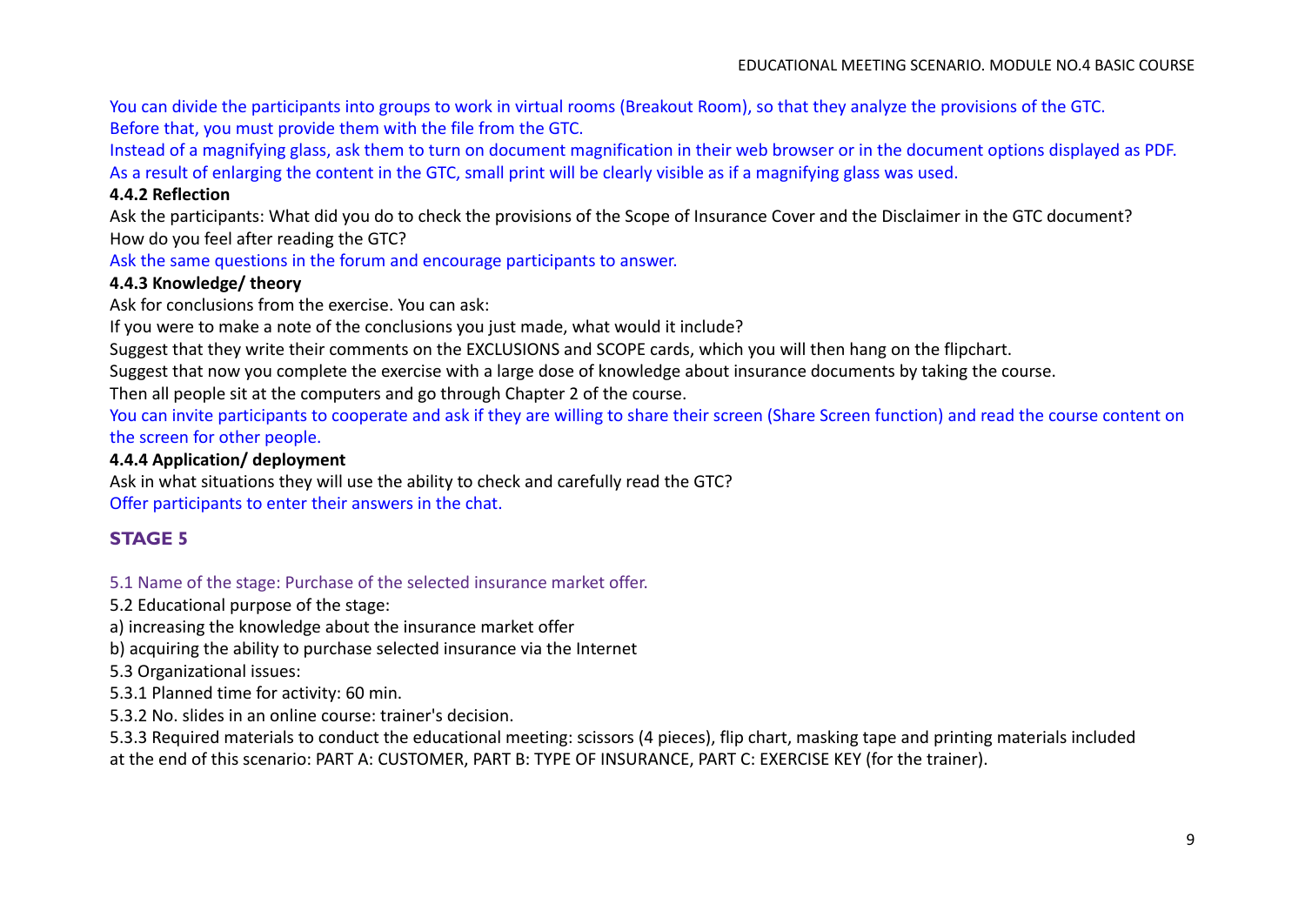You can divide the participants into groups to work in virtual rooms (Breakout Room), so that they analyze the provisions of the GTC. Before that, you must provide them with the file from the GTC.

Instead of a magnifying glass, ask them to turn on document magnification in their web browser or in the document options displayed as PDF. As a result of enlarging the content in the GTC, small print will be clearly visible as if a magnifying glass was used.

#### **4.4.2 Reflection**

Ask the participants: What did you do to check the provisions of the Scope of Insurance Cover and the Disclaimer in the GTC document? How do you feel after reading the GTC?

Ask the same questions in the forum and encourage participants to answer.

## **4.4.3 Knowledge/ theory**

Ask for conclusions from the exercise. You can ask:

If you were to make a note of the conclusions you just made, what would it include?

Suggest that they write their comments on the EXCLUSIONS and SCOPE cards, which you will then hang on the flipchart.

Suggest that now you complete the exercise with a large dose of knowledge about insurance documents by taking the course.

Then all people sit at the computers and go through Chapter 2 of the course.

You can invite participants to cooperate and ask if they are willing to share their screen (Share Screen function) and read the course content on the screen for other people.

#### **4.4.4 Application/ deployment**

Ask in what situations they will use the ability to check and carefully read the GTC? Offer participants to enter their answers in the chat.

# **STAGE 5**

## 5.1 Name of the stage: Purchase of the selected insurance market offer.

5.2 Educational purpose of the stage:

a) increasing the knowledge about the insurance market offer

b) acquiring the ability to purchase selected insurance via the Internet

5.3 Organizational issues:

5.3.1 Planned time for activity: 60 min.

5.3.2 No. slides in an online course: trainer's decision.

5.3.3 Required materials to conduct the educational meeting: scissors (4 pieces), flip chart, masking tape and printing materials included at the end of this scenario: PART A: CUSTOMER, PART B: TYPE OF INSURANCE, PART C: EXERCISE KEY (for the trainer).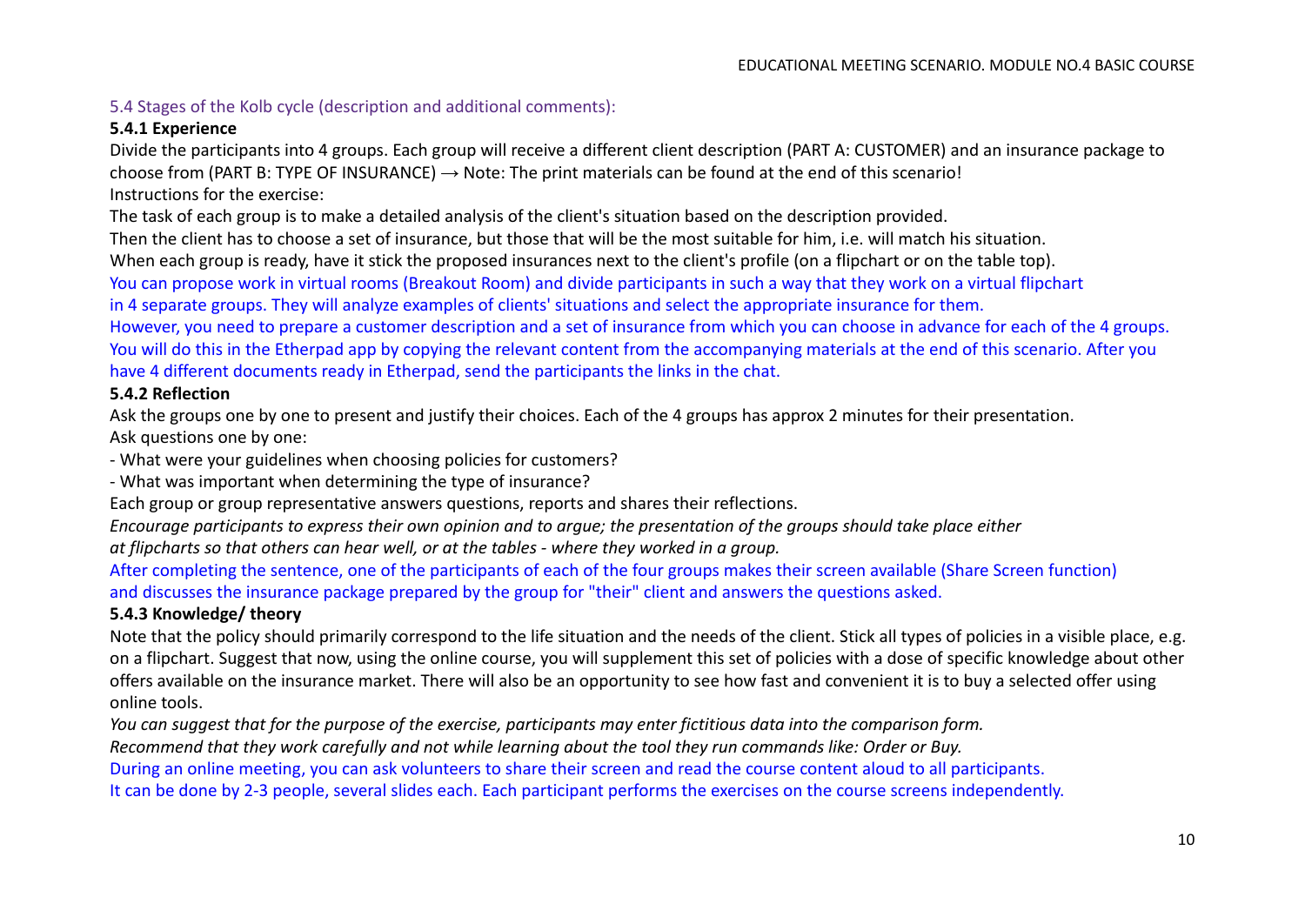# 5.4 Stages of the Kolb cycle (description and additional comments):

## **5.4.1 Experience**

Divide the participants into 4 groups. Each group will receive a different client description (PART A: CUSTOMER) and an insurance package to choose from (PART B: TYPE OF INSURANCE)  $\rightarrow$  Note: The print materials can be found at the end of this scenario! Instructions for the exercise:

The task of each group is to make a detailed analysis of the client's situation based on the description provided.

Then the client has to choose a set of insurance, but those that will be the most suitable for him, i.e. will match his situation.

When each group is ready, have it stick the proposed insurances next to the client's profile (on a flipchart or on the table top).

You can propose work in virtual rooms (Breakout Room) and divide participants in such a way that they work on a virtual flipchart

in 4 separate groups. They will analyze examples of clients' situations and select the appropriate insurance for them.

However, you need to prepare a customer description and a set of insurance from which you can choose in advance for each of the 4 groups. You will do this in the Etherpad app by copying the relevant content from the accompanying materials at the end of this scenario. After you have 4 different documents ready in Etherpad, send the participants the links in the chat.

## **5.4.2 Reflection**

Ask the groups one by one to present and justify their choices. Each of the 4 groups has approx 2 minutes for their presentation. Ask questions one by one:

- What were your guidelines when choosing policies for customers?

- What was important when determining the type of insurance?

Each group or group representative answers questions, reports and shares their reflections.

*Encourage participants to express their own opinion and to argue; the presentation of the groups should take place either*

*at flipcharts so that others can hear well, or at the tables - where they worked in a group.*

After completing the sentence, one of the participants of each of the four groups makes their screen available (Share Screen function) and discusses the insurance package prepared by the group for "their" client and answers the questions asked.

## **5.4.3 Knowledge/ theory**

Note that the policy should primarily correspond to the life situation and the needs of the client. Stick all types of policies in a visible place, e.g. on a flipchart. Suggest that now, using the online course, you will supplement this set of policies with a dose of specific knowledge about other offers available on the insurance market. There will also be an opportunity to see how fast and convenient it is to buy a selected offer using online tools.

*You can suggest that for the purpose of the exercise, participants may enter fictitious data into the comparison form.*

*Recommend that they work carefully and not while learning about the tool they run commands like: Order or Buy.*

During an online meeting, you can ask volunteers to share their screen and read the course content aloud to all participants.

It can be done by 2-3 people, several slides each. Each participant performs the exercises on the course screens independently.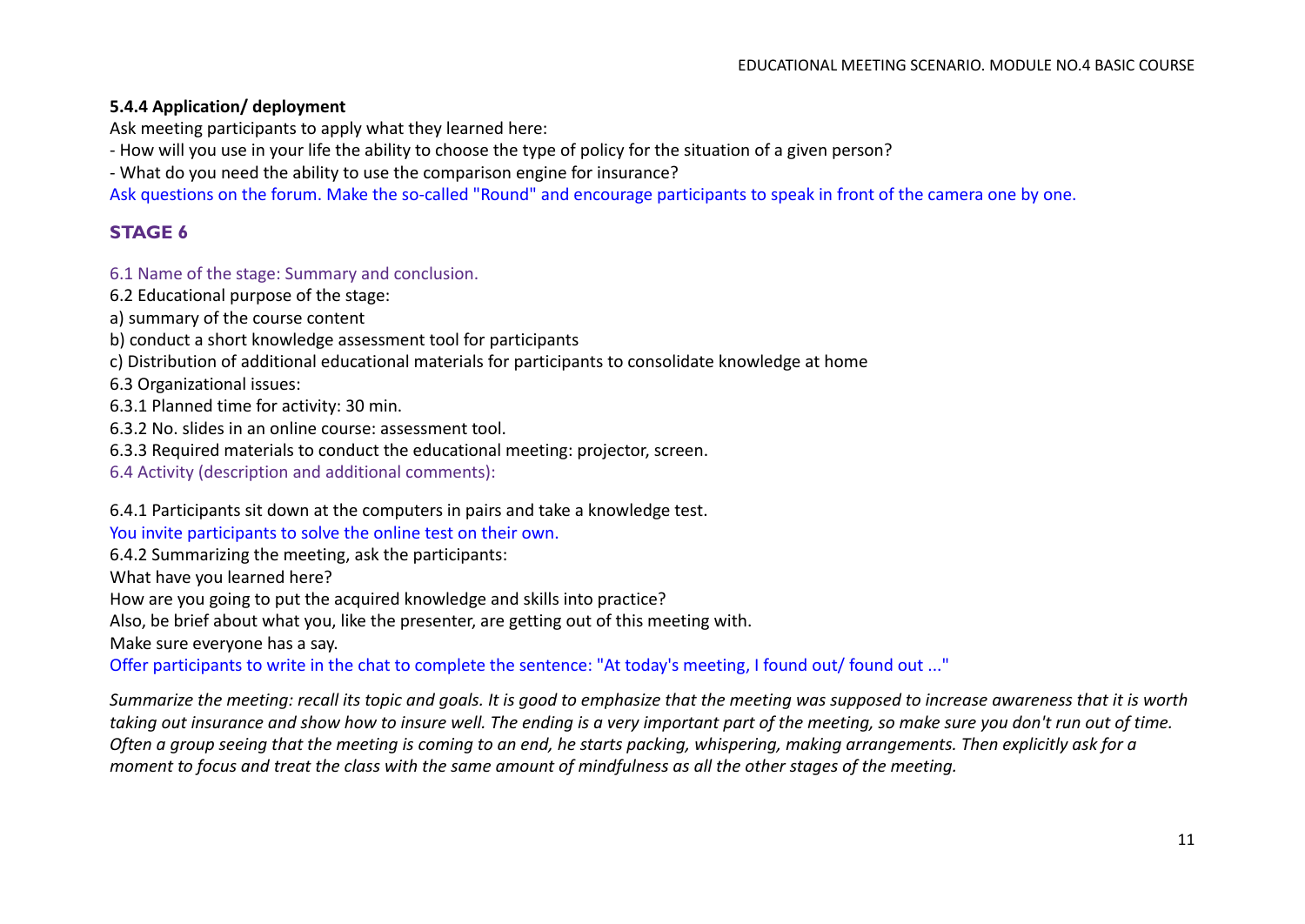#### **5.4.4 Application/ deployment**

Ask meeting participants to apply what they learned here:

- How will you use in your life the ability to choose the type of policy for the situation of a given person?

- What do you need the ability to use the comparison engine for insurance?

Ask questions on the forum. Make the so-called "Round" and encourage participants to speak in front of the camera one by one.

## **STAGE 6**

#### 6.1 Name of the stage: Summary and conclusion.

- 6.2 Educational purpose of the stage:
- a) summary of the course content
- b) conduct a short knowledge assessment tool for participants
- c) Distribution of additional educational materials for participants to consolidate knowledge at home

6.3 Organizational issues:

- 6.3.1 Planned time for activity: 30 min.
- 6.3.2 No. slides in an online course: assessment tool.
- 6.3.3 Required materials to conduct the educational meeting: projector, screen.
- 6.4 Activity (description and additional comments):

6.4.1 Participants sit down at the computers in pairs and take a knowledge test.

You invite participants to solve the online test on their own.

6.4.2 Summarizing the meeting, ask the participants:

What have you learned here?

How are you going to put the acquired knowledge and skills into practice?

Also, be brief about what you, like the presenter, are getting out of this meeting with.

Make sure everyone has a say.

Offer participants to write in the chat to complete the sentence: "At today's meeting, I found out/ found out ..."

*Summarize the meeting: recall its topic and goals. It is good to emphasize that the meeting was supposed to increase awareness that it is worth taking out insurance and show how to insure well. The ending is a very important part of the meeting, so make sure you don't run out of time. Often a group seeing that the meeting is coming to an end, he starts packing, whispering, making arrangements. Then explicitly ask for a moment to focus and treat the class with the same amount of mindfulness as all the other stages of the meeting.*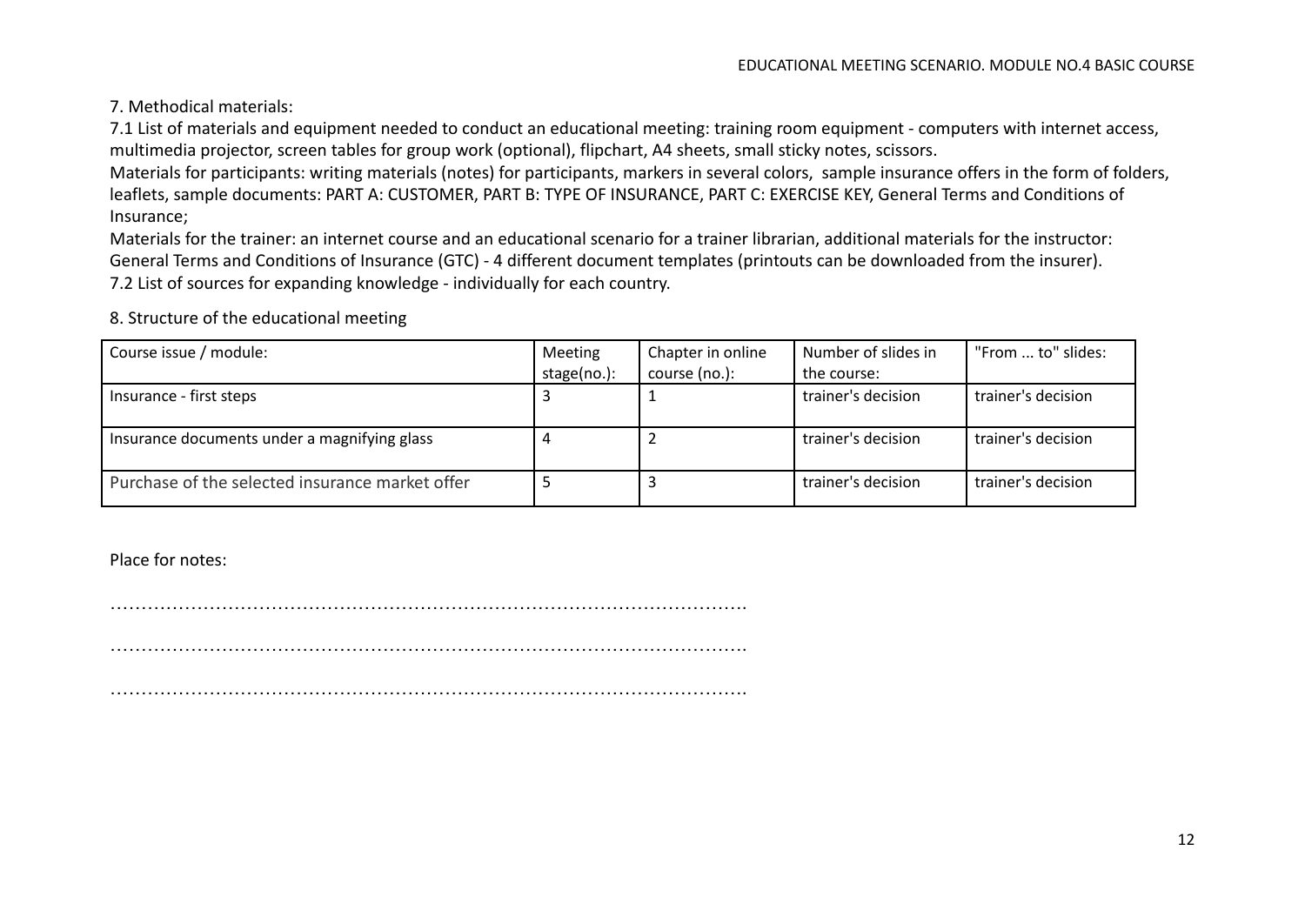7. Methodical materials:

7.1 List of materials and equipment needed to conduct an educational meeting: training room equipment - computers with internet access, multimedia projector, screen tables for group work (optional), flipchart, A4 sheets, small sticky notes, scissors.

Materials for participants: writing materials (notes) for participants, markers in several colors, sample insurance offers in the form of folders, leaflets, sample documents: PART A: CUSTOMER, PART B: TYPE OF INSURANCE, PART C: EXERCISE KEY, General Terms and Conditions of Insurance;

Materials for the trainer: an internet course and an educational scenario for a trainer librarian, additional materials for the instructor: General Terms and Conditions of Insurance (GTC) - 4 different document templates (printouts can be downloaded from the insurer). 7.2 List of sources for expanding knowledge - individually for each country.

8. Structure of the educational meeting

| Course issue / module:                          | Meeting     | Chapter in online | Number of slides in | "From  to" slides: |
|-------------------------------------------------|-------------|-------------------|---------------------|--------------------|
|                                                 | stage(no.): | course (no.):     | the course:         |                    |
| Insurance - first steps                         |             |                   | trainer's decision  | trainer's decision |
| Insurance documents under a magnifying glass    |             |                   | trainer's decision  | trainer's decision |
| Purchase of the selected insurance market offer |             |                   | trainer's decision  | trainer's decision |

Place for notes:

………………………………………………………………………………………….

………………………………………………………………………………………….

………………………………………………………………………………………….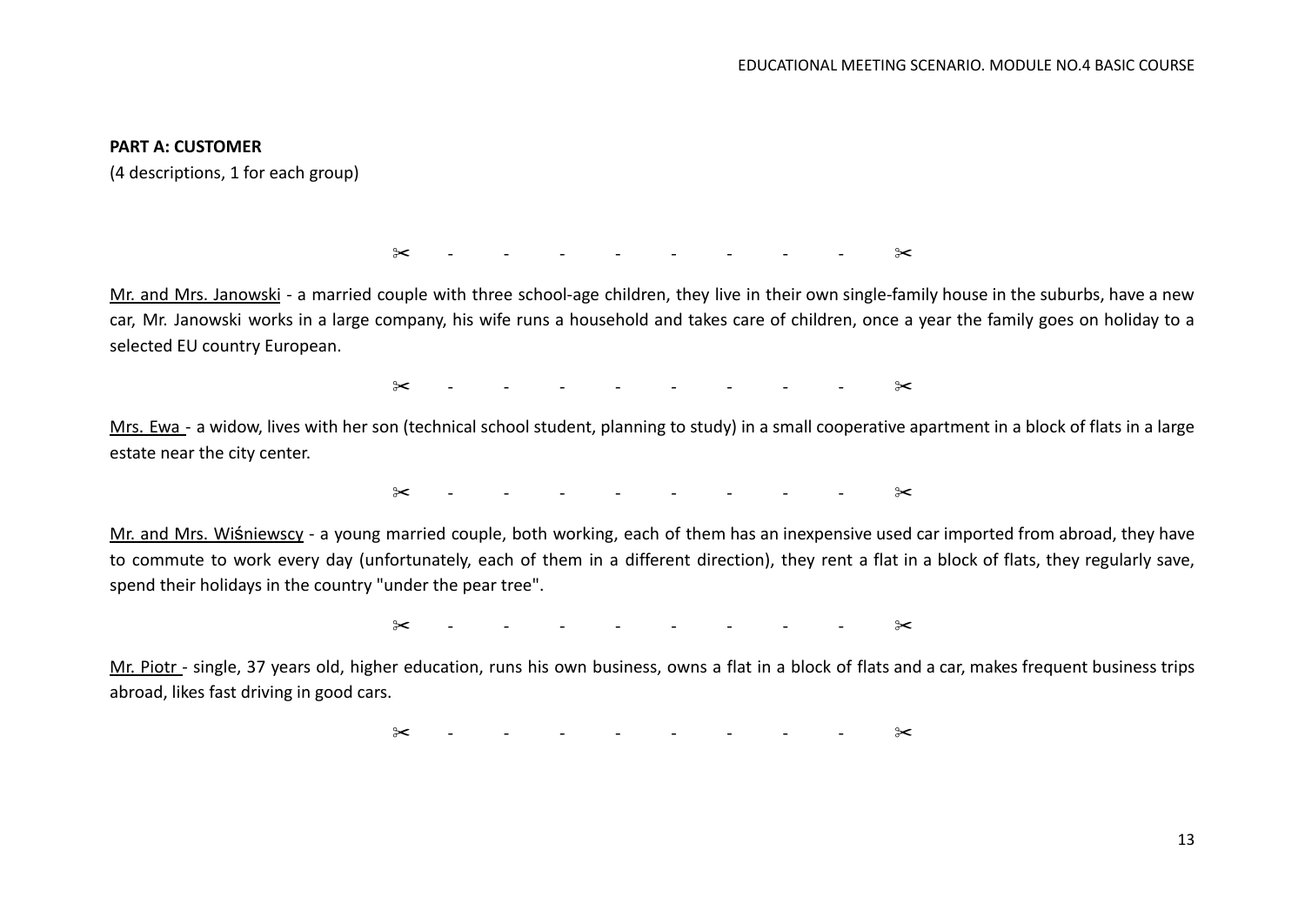#### **PART A: CUSTOMER**

(4 descriptions, 1 for each group)

✂ - - - - - - - - ✂

Mr. and Mrs. Janowski - a married couple with three school-age children, they live in their own single-family house in the suburbs, have a new car, Mr. Janowski works in a large company, his wife runs a household and takes care of children, once a year the family goes on holiday to a selected EU country European.

 $\approx$  - - - - - - - -  $\approx$ 

Mrs. Ewa - a widow, lives with her son (technical school student, planning to study) in a small cooperative apartment in a block of flats in a large estate near the city center.

✂ - - - - - - - - ✂

Mr. and Mrs. Wiśniewscy - a young married couple, both working, each of them has an inexpensive used car imported from abroad, they have to commute to work every day (unfortunately, each of them in a different direction), they rent a flat in a block of flats, they regularly save, spend their holidays in the country "under the pear tree".

✂ - - - - - - - - ✂

Mr. Piotr - single, 37 years old, higher education, runs his own business, owns a flat in a block of flats and a car, makes frequent business trips abroad, likes fast driving in good cars.

✂ - - - - - - - - ✂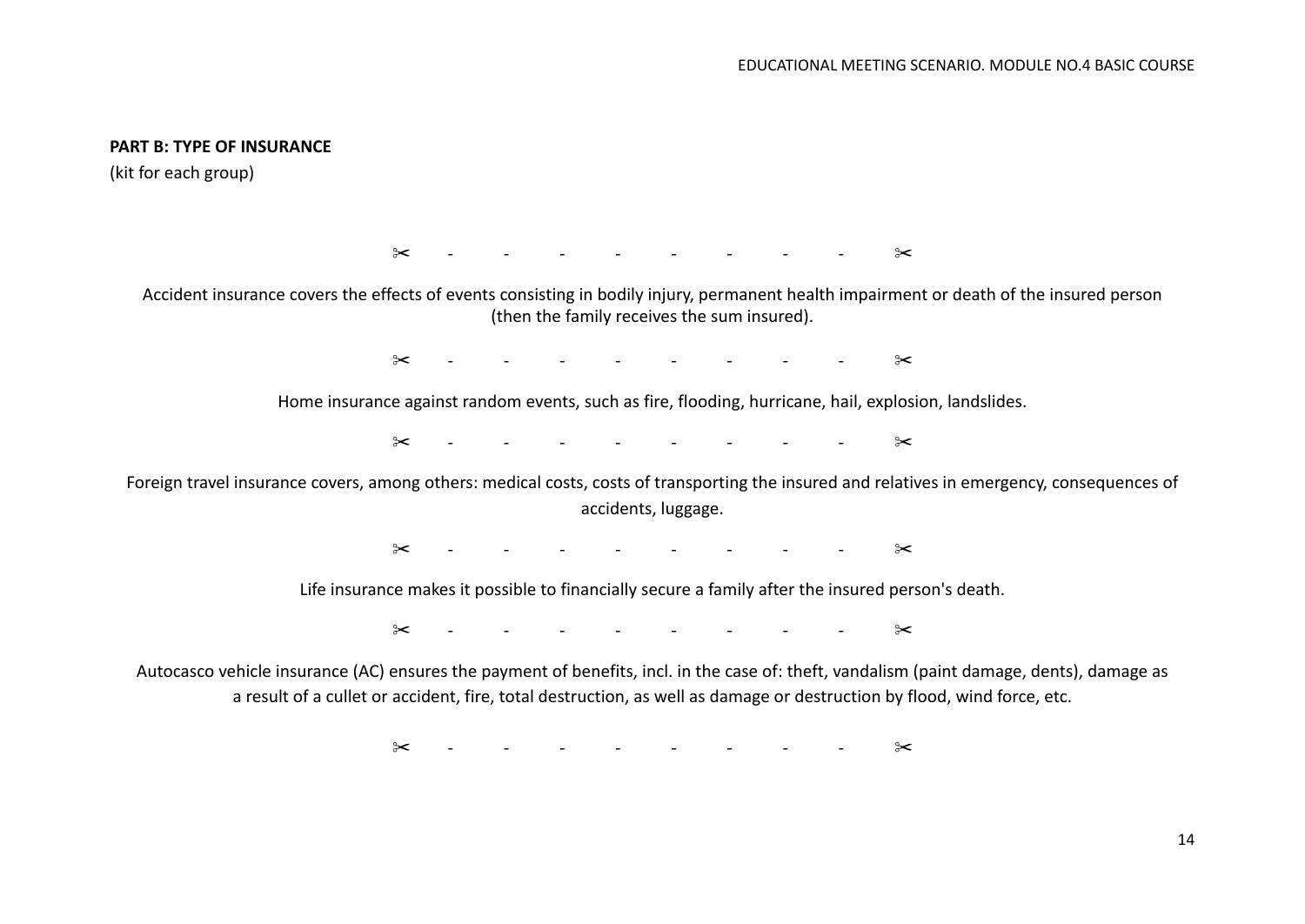#### **PART B: TYPE OF INSURANCE**

(kit for each group)

✂ - - - - - - - - ✂

Accident insurance covers the effects of events consisting in bodily injury, permanent health impairment or death of the insured person (then the family receives the sum insured).

✂ - - - - - - - - ✂

Home insurance against random events, such as fire, flooding, hurricane, hail, explosion, landslides.

✂ - - - - - - - - ✂

Foreign travel insurance covers, among others: medical costs, costs of transporting the insured and relatives in emergency, consequences of accidents, luggage.

✂ - - - - - - - - ✂

Life insurance makes it possible to financially secure a family after the insured person's death.

✂ - - - - - - - - ✂

Autocasco vehicle insurance (AC) ensures the payment of benefits, incl. in the case of: theft, vandalism (paint damage, dents), damage as a result of a cullet or accident, fire, total destruction, as well as damage or destruction by flood, wind force, etc.

 $\approx$  - - - - - - - -  $\approx$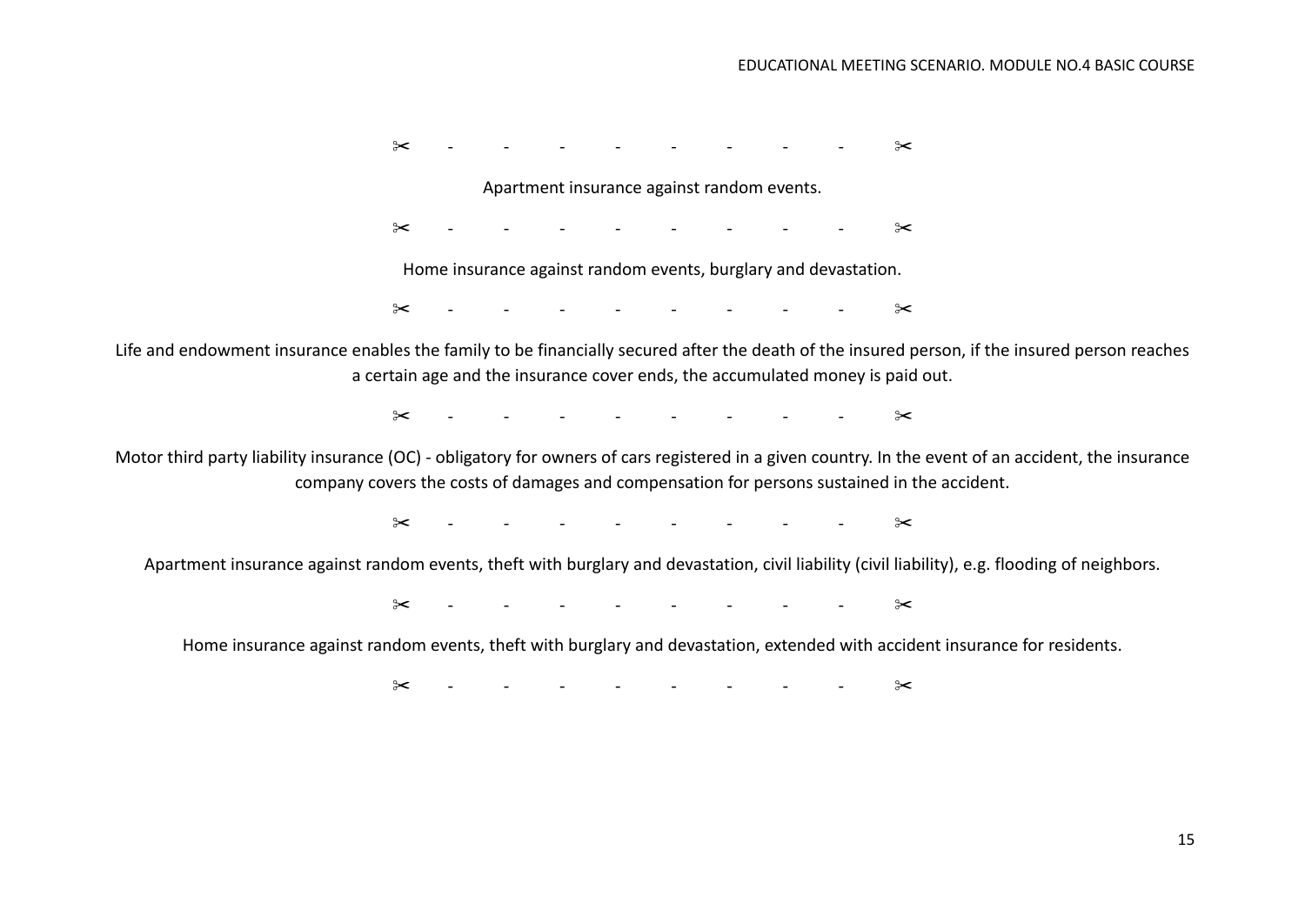$\gg$  - - - - - - -  $\gg$ 

Apartment insurance against random events.

 $\gg$  - - - - - - -  $\gg$ 

Home insurance against random events, burglary and devastation.

✂ - - - - - - - - ✂

Life and endowment insurance enables the family to be financially secured after the death of the insured person, if the insured person reaches a certain age and the insurance cover ends, the accumulated money is paid out.

 $\gg$  - - - - - - -  $\gg$ 

Motor third party liability insurance (OC) - obligatory for owners of cars registered in a given country. In the event of an accident, the insurance company covers the costs of damages and compensation for persons sustained in the accident.

✂ - - - - - - - - ✂

Apartment insurance against random events, theft with burglary and devastation, civil liability (civil liability), e.g. flooding of neighbors.

✂ - - - - - - - - ✂

Home insurance against random events, theft with burglary and devastation, extended with accident insurance for residents.

 $\approx$   $\approx$   $\sim$  -  $\sim$  -  $\sim$   $\sim$   $\sim$   $\approx$